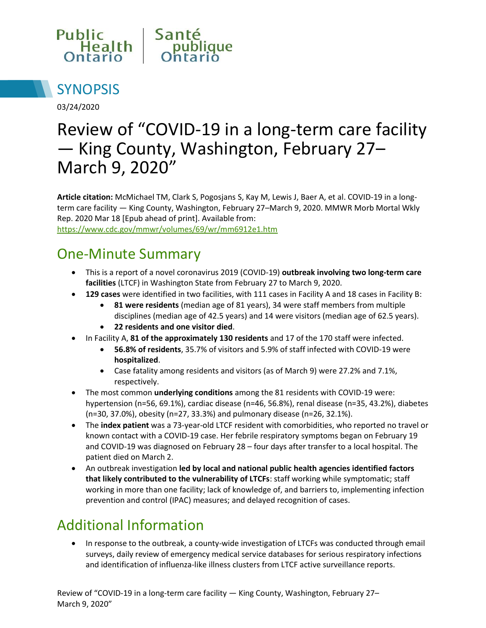



03/24/2020

# Review of "COVID-19 in a long-term care facility — King County, Washington, February 27– March 9, 2020"

**Article citation:** McMichael TM, Clark S, Pogosjans S, Kay M, Lewis J, Baer A, et al. COVID-19 in a longterm care facility — King County, Washington, February 27–March 9, 2020. MMWR Morb Mortal Wkly Rep. 2020 Mar 18 [Epub ahead of print]. Available from: <https://www.cdc.gov/mmwr/volumes/69/wr/mm6912e1.htm>

### One-Minute Summary

- This is a report of a novel coronavirus 2019 (COVID-19) **outbreak involving two long-term care facilities** (LTCF) in Washington State from February 27 to March 9, 2020.
- **129 cases** were identified in two facilities, with 111 cases in Facility A and 18 cases in Facility B:
	- **81 were residents** (median age of 81 years), 34 were staff members from multiple disciplines (median age of 42.5 years) and 14 were visitors (median age of 62.5 years).
	- **22 residents and one visitor died**.
	- In Facility A, **81 of the approximately 130 residents** and 17 of the 170 staff were infected.
		- **56.8% of residents**, 35.7% of visitors and 5.9% of staff infected with COVID-19 were **hospitalized**.
		- Case fatality among residents and visitors (as of March 9) were 27.2% and 7.1%, respectively.
- The most common **underlying conditions** among the 81 residents with COVID-19 were: hypertension (n=56, 69.1%), cardiac disease (n=46, 56.8%), renal disease (n=35, 43.2%), diabetes (n=30, 37.0%), obesity (n=27, 33.3%) and pulmonary disease (n=26, 32.1%).
- The **index patient** was a 73-year-old LTCF resident with comorbidities, who reported no travel or known contact with a COVID-19 case. Her febrile respiratory symptoms began on February 19 and COVID-19 was diagnosed on February 28 – four days after transfer to a local hospital. The patient died on March 2.
- An outbreak investigation **led by local and national public health agencies identified factors that likely contributed to the vulnerability of LTCFs**: staff working while symptomatic; staff working in more than one facility; lack of knowledge of, and barriers to, implementing infection prevention and control (IPAC) measures; and delayed recognition of cases.

# Additional Information

• In response to the outbreak, a county-wide investigation of LTCFs was conducted through email surveys, daily review of emergency medical service databases for serious respiratory infections and identification of influenza-like illness clusters from LTCF active surveillance reports.